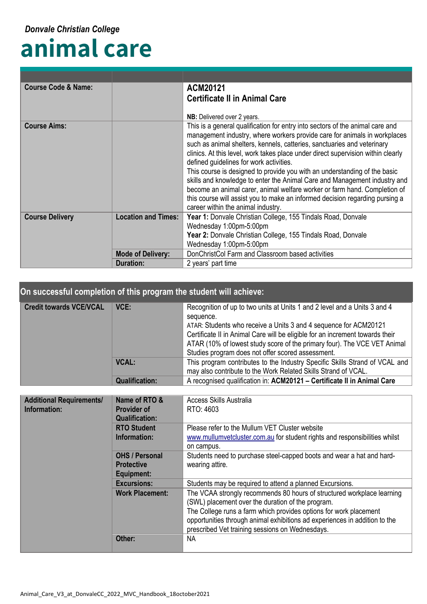## **animal care**

| <b>Course Code &amp; Name:</b> |                                                                                                                       | ACM20121                                                                                                                                                                                                                                                                                                                                                                                                                                                                                                                                                                                                                                                                                                                          |
|--------------------------------|-----------------------------------------------------------------------------------------------------------------------|-----------------------------------------------------------------------------------------------------------------------------------------------------------------------------------------------------------------------------------------------------------------------------------------------------------------------------------------------------------------------------------------------------------------------------------------------------------------------------------------------------------------------------------------------------------------------------------------------------------------------------------------------------------------------------------------------------------------------------------|
|                                |                                                                                                                       | <b>Certificate II in Animal Care</b>                                                                                                                                                                                                                                                                                                                                                                                                                                                                                                                                                                                                                                                                                              |
|                                |                                                                                                                       | NB: Delivered over 2 years.                                                                                                                                                                                                                                                                                                                                                                                                                                                                                                                                                                                                                                                                                                       |
| <b>Course Aims:</b>            |                                                                                                                       | This is a general qualification for entry into sectors of the animal care and<br>management industry, where workers provide care for animals in workplaces<br>such as animal shelters, kennels, catteries, sanctuaries and veterinary<br>clinics. At this level, work takes place under direct supervision within clearly<br>defined guidelines for work activities.<br>This course is designed to provide you with an understanding of the basic<br>skills and knowledge to enter the Animal Care and Management industry and<br>become an animal carer, animal welfare worker or farm hand. Completion of<br>this course will assist you to make an informed decision regarding pursing a<br>career within the animal industry. |
| <b>Course Delivery</b>         | <b>Location and Times:</b><br>Year 1: Donvale Christian College, 155 Tindals Road, Donvale<br>Wednesday 1:00pm-5:00pm |                                                                                                                                                                                                                                                                                                                                                                                                                                                                                                                                                                                                                                                                                                                                   |
|                                |                                                                                                                       | Year 2: Donvale Christian College, 155 Tindals Road, Donvale                                                                                                                                                                                                                                                                                                                                                                                                                                                                                                                                                                                                                                                                      |
|                                |                                                                                                                       | Wednesday 1:00pm-5:00pm                                                                                                                                                                                                                                                                                                                                                                                                                                                                                                                                                                                                                                                                                                           |
|                                | DonChristCol Farm and Classroom based activities<br><b>Mode of Delivery:</b>                                          |                                                                                                                                                                                                                                                                                                                                                                                                                                                                                                                                                                                                                                                                                                                                   |
|                                | <b>Duration:</b>                                                                                                      | 2 years' part time                                                                                                                                                                                                                                                                                                                                                                                                                                                                                                                                                                                                                                                                                                                |

## **On successful completion of this program the student will achieve:**

| <b>Credit towards VCE/VCAL</b> | VCE:                  | Recognition of up to two units at Units 1 and 2 level and a Units 3 and 4<br>sequence.<br>ATAR: Students who receive a Units 3 and 4 sequence for ACM20121<br>Certificate II in Animal Care will be eligible for an increment towards their<br>ATAR (10% of lowest study score of the primary four). The VCE VET Animal<br>Studies program does not offer scored assessment. |
|--------------------------------|-----------------------|------------------------------------------------------------------------------------------------------------------------------------------------------------------------------------------------------------------------------------------------------------------------------------------------------------------------------------------------------------------------------|
|                                | <b>VCAL:</b>          | This program contributes to the Industry Specific Skills Strand of VCAL and<br>may also contribute to the Work Related Skills Strand of VCAL.                                                                                                                                                                                                                                |
|                                | <b>Qualification:</b> | A recognised qualification in: ACM20121 - Certificate II in Animal Care                                                                                                                                                                                                                                                                                                      |

| <b>Additional Requirements/</b><br>Information:          | Name of RTO &<br><b>Provider of</b><br><b>Qualification:</b> | Access Skills Australia<br>RTO: 4603                                                                                                                                                                                                                                                                                              |
|----------------------------------------------------------|--------------------------------------------------------------|-----------------------------------------------------------------------------------------------------------------------------------------------------------------------------------------------------------------------------------------------------------------------------------------------------------------------------------|
|                                                          | <b>RTO Student</b><br>Information:                           | Please refer to the Mullum VET Cluster website<br>www.mullumvetcluster.com.au for student rights and responsibilities whilst<br>on campus.                                                                                                                                                                                        |
| <b>OHS / Personal</b><br><b>Protective</b><br>Equipment: |                                                              | Students need to purchase steel-capped boots and wear a hat and hard-<br>wearing attire.                                                                                                                                                                                                                                          |
|                                                          | <b>Excursions:</b>                                           | Students may be required to attend a planned Excursions.                                                                                                                                                                                                                                                                          |
|                                                          | <b>Work Placement:</b>                                       | The VCAA strongly recommends 80 hours of structured workplace learning<br>(SWL) placement over the duration of the program.<br>The College runs a farm which provides options for work placement<br>opportunities through animal exhibitions ad experiences in addition to the<br>prescribed Vet training sessions on Wednesdays. |
|                                                          | Other:                                                       | <b>NA</b>                                                                                                                                                                                                                                                                                                                         |